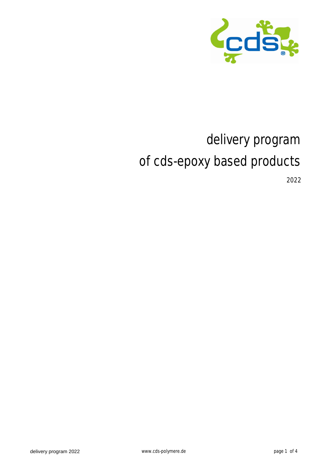

# delivery program of cds-epoxy based products

2022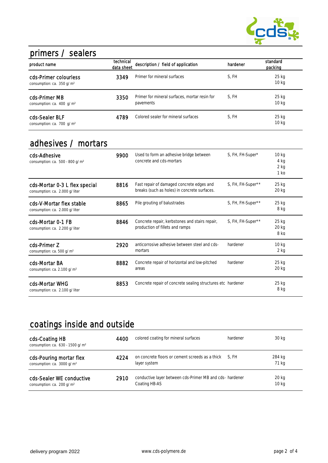

#### primers / sealers

| product name                                                   | technical<br>data sheet | description / field of application                         | hardener | standard<br>packing         |
|----------------------------------------------------------------|-------------------------|------------------------------------------------------------|----------|-----------------------------|
| cds-Primer colourless<br>consumption: ca. 350 g/m <sup>2</sup> | 3349                    | Primer for mineral surfaces                                | S. FH    | 25 kg<br>10 kg              |
| cds-Primer MB<br>consumption: ca. 400 g/m <sup>2</sup>         | 3350                    | Primer for mineral surfaces, mortar resin for<br>pavements | S. FH    | $25$ kg<br>10 <sub>kg</sub> |
| cds-Sealer BLF<br>consumption: ca. 700 g/m <sup>2</sup>        | 4789                    | Colored sealer for mineral surfaces                        | S. FH    | 25 kg<br>10 <sub>kg</sub>   |

### adhesives / mortars

| cds-Adhesive<br>consumption: ca. $500 - 800$ g/m <sup>2</sup>   | 9900 | Used to form an adhesive bridge between<br>concrete and cds-mortars                       | S, FH, FH-Super*  | 10 <sub>kg</sub><br>4 kg<br>$2$ kg<br>1 <sub>ka</sub> |
|-----------------------------------------------------------------|------|-------------------------------------------------------------------------------------------|-------------------|-------------------------------------------------------|
| cds-Mortar 0-3 L flex special<br>consumption: ca. 2.000 g/liter | 8816 | Fast repair of damaged concrete edges and<br>breaks (such as holes) in concrete surfaces. | S, FH, FH-Super** | $25$ kg<br>$20$ kg                                    |
| cds-V-Mortar flex stable<br>consumption: ca. 2.000 g/liter      | 8865 | Pile grouting of balustrades                                                              | S, FH, FH-Super** | $25$ kg<br>8 kg                                       |
| cds-Mortar 0-1 FB<br>consumption: ca. 2.200 g/liter             | 8846 | Concrete repair, kerbstones and stairs repair,<br>production of fillets and ramps         | S, FH, FH-Super** | $25$ kg<br>$20$ kg<br>8 ka                            |
| cds-Primer Z<br>consumption: ca. 500 g/m <sup>2</sup>           | 2920 | anticorrosive adhesive between steel and cds-<br>mortars                                  | hardener          | 10 <sub>kq</sub><br>$2$ kg                            |
| cds-Mortar BA<br>consumption: ca. 2.100 g/m <sup>2</sup>        | 8882 | Concrete repair of horizontal and low-pitched<br>areas                                    | hardener          | $25$ kg<br>$20$ kg                                    |
| cds-Mortar WHG<br>consumption: ca. 2.100 g/liter                | 8853 | Concrete repair of concrete sealing structures etc hardener                               |                   | 25 kg<br>8 kg                                         |

## coatings inside and outside

| cds-Coating HB<br>consumption: ca. 630 - 1500 g/m <sup>2</sup>    | 4400 | colored coating for mineral surfaces                                     | hardener | 30 kg                     |
|-------------------------------------------------------------------|------|--------------------------------------------------------------------------|----------|---------------------------|
| cds-Pouring mortar flex<br>consumption: ca. 3000 g/m <sup>2</sup> | 4224 | on concrete floors or cement screeds as a thick S, FH<br>layer system    |          | 284 kg<br>71 kg           |
| cds-Sealer WE conductive<br>consumption: ca. 200 g/m <sup>2</sup> | 2910 | conductive layer between cds-Primer MB and cds-hardener<br>Coating HB-AS |          | 20 kg<br>10 <sub>kg</sub> |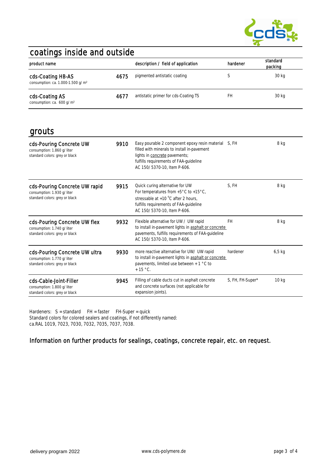

### coatings inside and outside

| product name                                                       |      | description / field of application   | hardener | standard<br>packing |
|--------------------------------------------------------------------|------|--------------------------------------|----------|---------------------|
| cds-Coating HB-AS<br>consumption: ca. 1.000-1.500 g/m <sup>2</sup> | 4675 | pigmented antistatic coating         |          | 30 kg               |
| cds-Coating AS<br>consumption: ca. 600 g/m <sup>2</sup>            | 4677 | antistatic primer for cds-Coating TS | FH       | 30 kg               |

grouts

| gi vu tu                                                                                      |      |                                                                                                                                                                                                               |                  |                  |
|-----------------------------------------------------------------------------------------------|------|---------------------------------------------------------------------------------------------------------------------------------------------------------------------------------------------------------------|------------------|------------------|
| cds-Pouring Concrete UW<br>consumption: 1.860 g/liter<br>standard colors: grey or black       | 9910 | Easy pourable 2 component epoxy resin material<br>filled with minerals to install in-pavement<br>lights in concrete pavements;<br>fulfills requirements of FAA-quideline<br>AC 150/5370-10, Item P-606.       | S. FH            | 8 kg             |
| cds-Pouring Concrete UW rapid<br>consumption: 1.930 g/liter<br>standard colors: grey or black | 9915 | Quick curing alternative for UW<br>For temperatures from $+5^{\circ}$ C to $+15^{\circ}$ C,<br>stressable at $+10$ °C after 2 hours,<br>fulfills requirements of FAA-quideline<br>AC 150/5370-10, Item P-606. | S, FH            | 8 kg             |
| cds-Pouring Concrete UW flex<br>consumption: 1.740 g/liter<br>standard colors: grey or black  | 9932 | Flexible alternative for UW / UW rapid<br>to install in-pavement lights in asphalt or concrete<br>pavements, fulfills requirements of FAA-guideline<br>AC 150/5370-10. Item P-606.                            | <b>FH</b>        | 8 kg             |
| cds-Pouring Concrete UW ultra<br>consumption: 1.770 g/liter<br>standard colors: grey or black | 9930 | more reactive alternative for UW/ UW rapid<br>to install in-pavement lights in asphalt or concrete<br>pavements, limited use between $+ 1$ °C to<br>$+15$ °C.                                                 | hardener         | $6,5$ kg         |
| cds-Cable-Joint-Filler<br>consumption: 1.800 g/liter<br>standard colors: grey or black        | 9945 | Filling of cable ducts cut in asphalt concrete<br>and concrete surfaces (not applicable for<br>expansion joints).                                                                                             | S, FH, FH-Super* | 10 <sub>kg</sub> |

Hardeners: S = standard FH = faster FH-Super = quick Standard colors for colored sealers and coatings, if not differently named: ca.RAL 1019, 7023, 7030, 7032, 7035, 7037, 7038.

#### Information on further products for sealings, coatings, concrete repair, etc. on request.